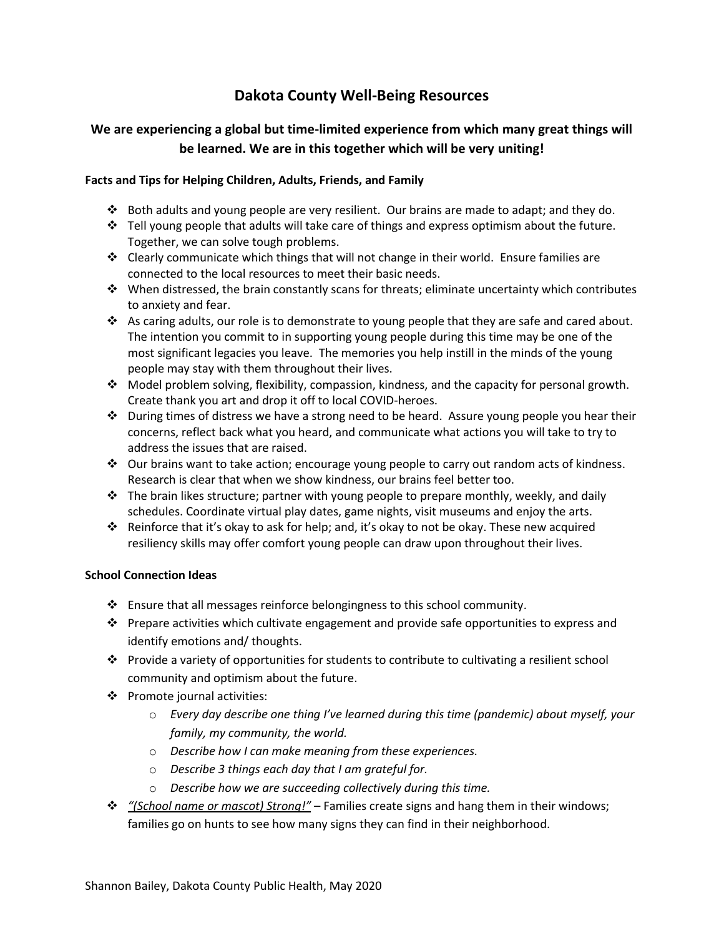# **Dakota County Well-Being Resources**

## **We are experiencing a global but time-limited experience from which many great things will be learned. We are in this together which will be very uniting!**

### **Facts and Tips for Helping Children, Adults, Friends, and Family**

- ❖ Both adults and young people are very resilient. Our brains are made to adapt; and they do.
- ❖ Tell young people that adults will take care of things and express optimism about the future. Together, we can solve tough problems.
- ❖ Clearly communicate which things that will not change in their world. Ensure families are connected to the local resources to meet their basic needs.
- ❖ When distressed, the brain constantly scans for threats; eliminate uncertainty which contributes to anxiety and fear.
- ❖ As caring adults, our role is to demonstrate to young people that they are safe and cared about. The intention you commit to in supporting young people during this time may be one of the most significant legacies you leave. The memories you help instill in the minds of the young people may stay with them throughout their lives.
- ❖ Model problem solving, flexibility, compassion, kindness, and the capacity for personal growth. Create thank you art and drop it off to local COVID-heroes.
- ❖ During times of distress we have a strong need to be heard. Assure young people you hear their concerns, reflect back what you heard, and communicate what actions you will take to try to address the issues that are raised.
- ❖ Our brains want to take action; encourage young people to carry out random acts of kindness. Research is clear that when we show kindness, our brains feel better too.
- $\cdot \cdot$  The brain likes structure; partner with young people to prepare monthly, weekly, and daily schedules. Coordinate virtual play dates, game nights, visit museums and enjoy the arts.
- ❖ Reinforce that it's okay to ask for help; and, it's okay to not be okay. These new acquired resiliency skills may offer comfort young people can draw upon throughout their lives.

#### **School Connection Ideas**

- ❖ Ensure that all messages reinforce belongingness to this school community.
- ❖ Prepare activities which cultivate engagement and provide safe opportunities to express and identify emotions and/ thoughts.
- ❖ Provide a variety of opportunities for students to contribute to cultivating a resilient school community and optimism about the future.
- ❖ Promote journal activities:
	- o *Every day describe one thing I've learned during this time (pandemic) about myself, your family, my community, the world.*
	- o *Describe how I can make meaning from these experiences.*
	- o *Describe 3 things each day that I am grateful for.*
	- o *Describe how we are succeeding collectively during this time.*
- ❖ *"(School name or mascot) Strong!"* Families create signs and hang them in their windows; families go on hunts to see how many signs they can find in their neighborhood.